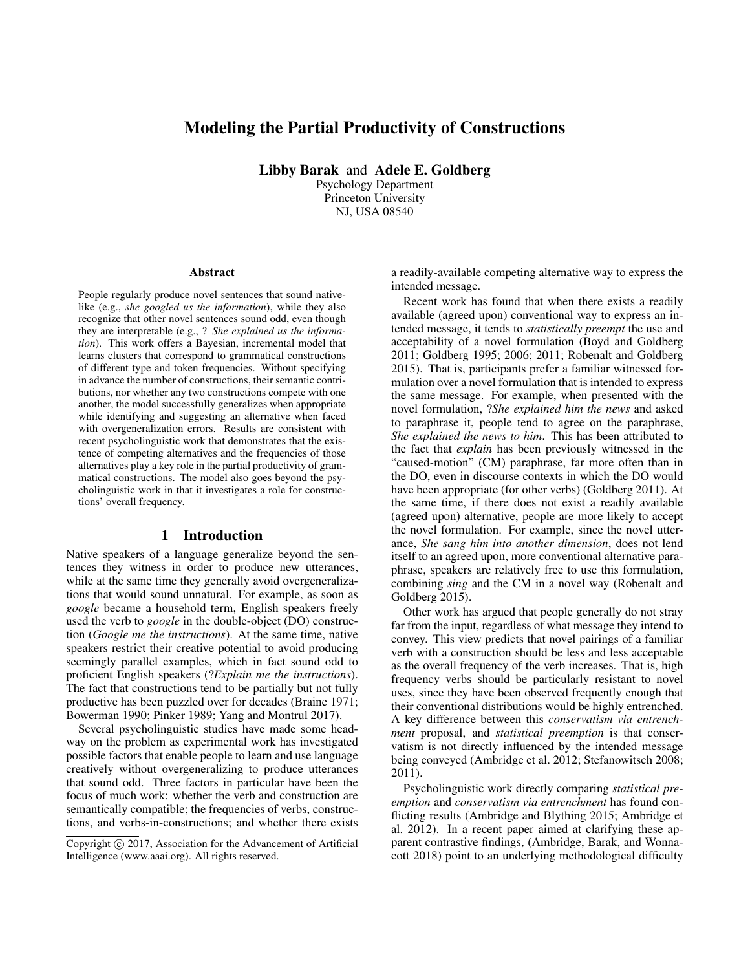# Modeling the Partial Productivity of Constructions

Libby Barak and Adele E. Goldberg

Psychology Department Princeton University NJ, USA 08540

#### **Abstract**

People regularly produce novel sentences that sound nativelike (e.g., *she googled us the information*), while they also recognize that other novel sentences sound odd, even though they are interpretable (e.g., ? *She explained us the information*). This work offers a Bayesian, incremental model that learns clusters that correspond to grammatical constructions of different type and token frequencies. Without specifying in advance the number of constructions, their semantic contributions, nor whether any two constructions compete with one another, the model successfully generalizes when appropriate while identifying and suggesting an alternative when faced with overgeneralization errors. Results are consistent with recent psycholinguistic work that demonstrates that the existence of competing alternatives and the frequencies of those alternatives play a key role in the partial productivity of grammatical constructions. The model also goes beyond the psycholinguistic work in that it investigates a role for constructions' overall frequency.

# 1 Introduction

Native speakers of a language generalize beyond the sentences they witness in order to produce new utterances, while at the same time they generally avoid overgeneralizations that would sound unnatural. For example, as soon as *google* became a household term, English speakers freely used the verb to *google* in the double-object (DO) construction (*Google me the instructions*). At the same time, native speakers restrict their creative potential to avoid producing seemingly parallel examples, which in fact sound odd to proficient English speakers (?*Explain me the instructions*). The fact that constructions tend to be partially but not fully productive has been puzzled over for decades (Braine 1971; Bowerman 1990; Pinker 1989; Yang and Montrul 2017).

Several psycholinguistic studies have made some headway on the problem as experimental work has investigated possible factors that enable people to learn and use language creatively without overgeneralizing to produce utterances that sound odd. Three factors in particular have been the focus of much work: whether the verb and construction are semantically compatible; the frequencies of verbs, constructions, and verbs-in-constructions; and whether there exists a readily-available competing alternative way to express the intended message.

Recent work has found that when there exists a readily available (agreed upon) conventional way to express an intended message, it tends to *statistically preempt* the use and acceptability of a novel formulation (Boyd and Goldberg 2011; Goldberg 1995; 2006; 2011; Robenalt and Goldberg 2015). That is, participants prefer a familiar witnessed formulation over a novel formulation that is intended to express the same message. For example, when presented with the novel formulation, ?*She explained him the news* and asked to paraphrase it, people tend to agree on the paraphrase, *She explained the news to him*. This has been attributed to the fact that *explain* has been previously witnessed in the "caused-motion" (CM) paraphrase, far more often than in the DO, even in discourse contexts in which the DO would have been appropriate (for other verbs) (Goldberg 2011). At the same time, if there does not exist a readily available (agreed upon) alternative, people are more likely to accept the novel formulation. For example, since the novel utterance, *She sang him into another dimension*, does not lend itself to an agreed upon, more conventional alternative paraphrase, speakers are relatively free to use this formulation, combining *sing* and the CM in a novel way (Robenalt and Goldberg 2015).

Other work has argued that people generally do not stray far from the input, regardless of what message they intend to convey. This view predicts that novel pairings of a familiar verb with a construction should be less and less acceptable as the overall frequency of the verb increases. That is, high frequency verbs should be particularly resistant to novel uses, since they have been observed frequently enough that their conventional distributions would be highly entrenched. A key difference between this *conservatism via entrenchment* proposal, and *statistical preemption* is that conservatism is not directly influenced by the intended message being conveyed (Ambridge et al. 2012; Stefanowitsch 2008; 2011).

Psycholinguistic work directly comparing *statistical preemption* and *conservatism via entrenchment* has found conflicting results (Ambridge and Blything 2015; Ambridge et al. 2012). In a recent paper aimed at clarifying these apparent contrastive findings, (Ambridge, Barak, and Wonnacott 2018) point to an underlying methodological difficulty

Copyright (c) 2017, Association for the Advancement of Artificial Intelligence (www.aaai.org). All rights reserved.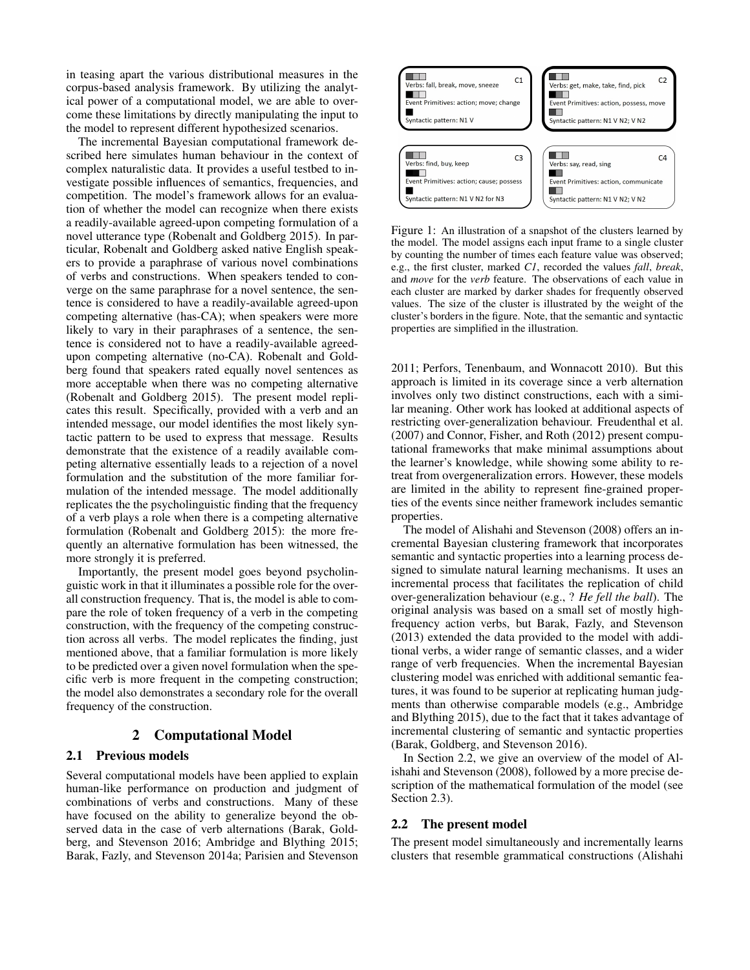in teasing apart the various distributional measures in the corpus-based analysis framework. By utilizing the analytical power of a computational model, we are able to overcome these limitations by directly manipulating the input to the model to represent different hypothesized scenarios.

The incremental Bayesian computational framework described here simulates human behaviour in the context of complex naturalistic data. It provides a useful testbed to investigate possible influences of semantics, frequencies, and competition. The model's framework allows for an evaluation of whether the model can recognize when there exists a readily-available agreed-upon competing formulation of a novel utterance type (Robenalt and Goldberg 2015). In particular, Robenalt and Goldberg asked native English speakers to provide a paraphrase of various novel combinations of verbs and constructions. When speakers tended to converge on the same paraphrase for a novel sentence, the sentence is considered to have a readily-available agreed-upon competing alternative (has-CA); when speakers were more likely to vary in their paraphrases of a sentence, the sentence is considered not to have a readily-available agreedupon competing alternative (no-CA). Robenalt and Goldberg found that speakers rated equally novel sentences as more acceptable when there was no competing alternative (Robenalt and Goldberg 2015). The present model replicates this result. Specifically, provided with a verb and an intended message, our model identifies the most likely syntactic pattern to be used to express that message. Results demonstrate that the existence of a readily available competing alternative essentially leads to a rejection of a novel formulation and the substitution of the more familiar formulation of the intended message. The model additionally replicates the the psycholinguistic finding that the frequency of a verb plays a role when there is a competing alternative formulation (Robenalt and Goldberg 2015): the more frequently an alternative formulation has been witnessed, the more strongly it is preferred.

Importantly, the present model goes beyond psycholinguistic work in that it illuminates a possible role for the overall construction frequency. That is, the model is able to compare the role of token frequency of a verb in the competing construction, with the frequency of the competing construction across all verbs. The model replicates the finding, just mentioned above, that a familiar formulation is more likely to be predicted over a given novel formulation when the specific verb is more frequent in the competing construction; the model also demonstrates a secondary role for the overall frequency of the construction.

# 2 Computational Model

## 2.1 Previous models

Several computational models have been applied to explain human-like performance on production and judgment of combinations of verbs and constructions. Many of these have focused on the ability to generalize beyond the observed data in the case of verb alternations (Barak, Goldberg, and Stevenson 2016; Ambridge and Blything 2015; Barak, Fazly, and Stevenson 2014a; Parisien and Stevenson



Figure 1: An illustration of a snapshot of the clusters learned by the model. The model assigns each input frame to a single cluster by counting the number of times each feature value was observed; e.g., the first cluster, marked *C1*, recorded the values *fall*, *break*, and *move* for the *verb* feature. The observations of each value in each cluster are marked by darker shades for frequently observed values. The size of the cluster is illustrated by the weight of the cluster's borders in the figure. Note, that the semantic and syntactic properties are simplified in the illustration.

2011; Perfors, Tenenbaum, and Wonnacott 2010). But this approach is limited in its coverage since a verb alternation involves only two distinct constructions, each with a similar meaning. Other work has looked at additional aspects of restricting over-generalization behaviour. Freudenthal et al. (2007) and Connor, Fisher, and Roth (2012) present computational frameworks that make minimal assumptions about the learner's knowledge, while showing some ability to retreat from overgeneralization errors. However, these models are limited in the ability to represent fine-grained properties of the events since neither framework includes semantic properties.

The model of Alishahi and Stevenson (2008) offers an incremental Bayesian clustering framework that incorporates semantic and syntactic properties into a learning process designed to simulate natural learning mechanisms. It uses an incremental process that facilitates the replication of child over-generalization behaviour (e.g., ? *He fell the ball*). The original analysis was based on a small set of mostly highfrequency action verbs, but Barak, Fazly, and Stevenson (2013) extended the data provided to the model with additional verbs, a wider range of semantic classes, and a wider range of verb frequencies. When the incremental Bayesian clustering model was enriched with additional semantic features, it was found to be superior at replicating human judgments than otherwise comparable models (e.g., Ambridge and Blything 2015), due to the fact that it takes advantage of incremental clustering of semantic and syntactic properties (Barak, Goldberg, and Stevenson 2016).

In Section 2.2, we give an overview of the model of Alishahi and Stevenson (2008), followed by a more precise description of the mathematical formulation of the model (see Section 2.3).

#### 2.2 The present model

The present model simultaneously and incrementally learns clusters that resemble grammatical constructions (Alishahi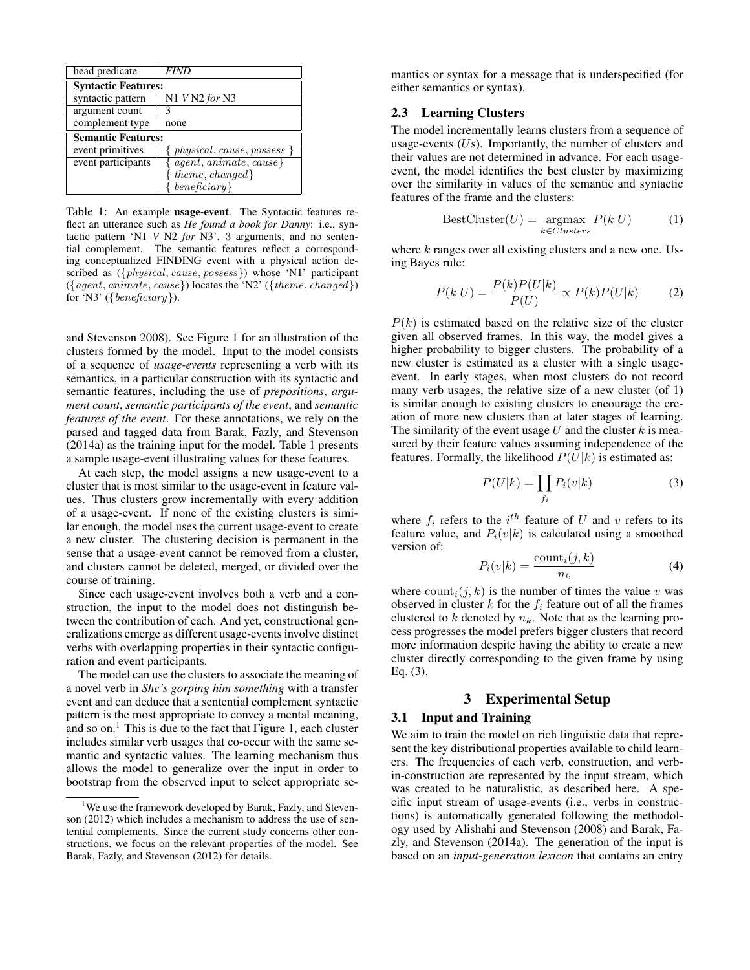| head predicate             | <i>FIND</i>                   |  |  |  |
|----------------------------|-------------------------------|--|--|--|
| <b>Syntactic Features:</b> |                               |  |  |  |
| syntactic pattern          | $N1$ V N2 for N3              |  |  |  |
| argument count             |                               |  |  |  |
| complement type            | none                          |  |  |  |
| <b>Semantic Features:</b>  |                               |  |  |  |
| event primitives           | $physical, cause, possess \}$ |  |  |  |
| event participants         | $agent, animate, cause\}$     |  |  |  |
|                            | $theme, changed\}$            |  |  |  |
|                            | $\,$ beneficiary $\}$         |  |  |  |

Table 1: An example usage-event. The Syntactic features reflect an utterance such as *He found a book for Danny*: i.e., syntactic pattern 'N1 *V* N2 *for* N3', 3 arguments, and no sentential complement. The semantic features reflect a corresponding conceptualized FINDING event with a physical action described as ({*physical, cause, possess*}) whose 'N1' participant  $({q\text{,}a}$  animate, cause}) locates the 'N2' ( ${q\text{,}c}$ ) for 'N3' ( $\{beneficiency\}$ ).

and Stevenson 2008). See Figure 1 for an illustration of the clusters formed by the model. Input to the model consists of a sequence of *usage-events* representing a verb with its semantics, in a particular construction with its syntactic and semantic features, including the use of *prepositions*, *argument count*, *semantic participants of the event*, and *semantic features of the event*. For these annotations, we rely on the parsed and tagged data from Barak, Fazly, and Stevenson (2014a) as the training input for the model. Table 1 presents a sample usage-event illustrating values for these features.

At each step, the model assigns a new usage-event to a cluster that is most similar to the usage-event in feature values. Thus clusters grow incrementally with every addition of a usage-event. If none of the existing clusters is similar enough, the model uses the current usage-event to create a new cluster. The clustering decision is permanent in the sense that a usage-event cannot be removed from a cluster, and clusters cannot be deleted, merged, or divided over the course of training.

Since each usage-event involves both a verb and a construction, the input to the model does not distinguish between the contribution of each. And yet, constructional generalizations emerge as different usage-events involve distinct verbs with overlapping properties in their syntactic configuration and event participants.

The model can use the clusters to associate the meaning of a novel verb in *She's gorping him something* with a transfer event and can deduce that a sentential complement syntactic pattern is the most appropriate to convey a mental meaning, and so on.<sup>1</sup> This is due to the fact that Figure 1, each cluster includes similar verb usages that co-occur with the same semantic and syntactic values. The learning mechanism thus allows the model to generalize over the input in order to bootstrap from the observed input to select appropriate se-

mantics or syntax for a message that is underspecified (for either semantics or syntax).

# 2.3 Learning Clusters

The model incrementally learns clusters from a sequence of usage-events  $(Us)$ . Importantly, the number of clusters and their values are not determined in advance. For each usageevent, the model identifies the best cluster by maximizing over the similarity in values of the semantic and syntactic features of the frame and the clusters:

$$
BestCluster(U) = \underset{k \in Clusters}{\operatorname{argmax}} P(k|U)
$$
 (1)

where  $k$  ranges over all existing clusters and a new one. Using Bayes rule:

$$
P(k|U) = \frac{P(k)P(U|k)}{P(U)} \propto P(k)P(U|k)
$$
 (2)

 $P(k)$  is estimated based on the relative size of the cluster given all observed frames. In this way, the model gives a higher probability to bigger clusters. The probability of a new cluster is estimated as a cluster with a single usageevent. In early stages, when most clusters do not record many verb usages, the relative size of a new cluster (of 1) is similar enough to existing clusters to encourage the creation of more new clusters than at later stages of learning. The similarity of the event usage  $U$  and the cluster  $k$  is measured by their feature values assuming independence of the features. Formally, the likelihood  $P(U|k)$  is estimated as:

$$
P(U|k) = \prod_{f_i} P_i(v|k)
$$
 (3)

where  $f_i$  refers to the  $i^{th}$  feature of U and v refers to its feature value, and  $P_i(v|k)$  is calculated using a smoothed version of:

$$
P_i(v|k) = \frac{\text{count}_i(j,k)}{n_k} \tag{4}
$$

where  $\text{count}_i(j, k)$  is the number of times the value v was observed in cluster k for the  $f_i$  feature out of all the frames clustered to k denoted by  $n_k$ . Note that as the learning process progresses the model prefers bigger clusters that record more information despite having the ability to create a new cluster directly corresponding to the given frame by using Eq. (3).

# 3 Experimental Setup

### 3.1 Input and Training

We aim to train the model on rich linguistic data that represent the key distributional properties available to child learners. The frequencies of each verb, construction, and verbin-construction are represented by the input stream, which was created to be naturalistic, as described here. A specific input stream of usage-events (i.e., verbs in constructions) is automatically generated following the methodology used by Alishahi and Stevenson (2008) and Barak, Fazly, and Stevenson (2014a). The generation of the input is based on an *input-generation lexicon* that contains an entry

<sup>&</sup>lt;sup>1</sup>We use the framework developed by Barak, Fazly, and Stevenson (2012) which includes a mechanism to address the use of sentential complements. Since the current study concerns other constructions, we focus on the relevant properties of the model. See Barak, Fazly, and Stevenson (2012) for details.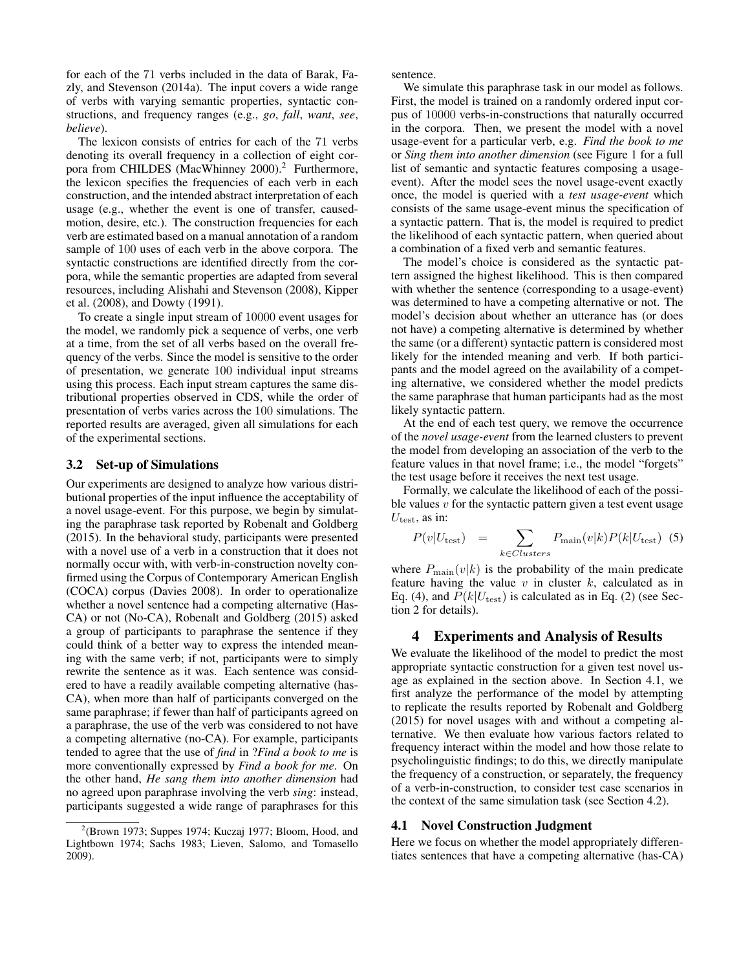for each of the 71 verbs included in the data of Barak, Fazly, and Stevenson (2014a). The input covers a wide range of verbs with varying semantic properties, syntactic constructions, and frequency ranges (e.g., *go*, *fall*, *want*, *see*, *believe*).

The lexicon consists of entries for each of the 71 verbs denoting its overall frequency in a collection of eight corpora from CHILDES (MacWhinney 2000).<sup>2</sup> Furthermore, the lexicon specifies the frequencies of each verb in each construction, and the intended abstract interpretation of each usage (e.g., whether the event is one of transfer, causedmotion, desire, etc.). The construction frequencies for each verb are estimated based on a manual annotation of a random sample of 100 uses of each verb in the above corpora. The syntactic constructions are identified directly from the corpora, while the semantic properties are adapted from several resources, including Alishahi and Stevenson (2008), Kipper et al. (2008), and Dowty (1991).

To create a single input stream of 10000 event usages for the model, we randomly pick a sequence of verbs, one verb at a time, from the set of all verbs based on the overall frequency of the verbs. Since the model is sensitive to the order of presentation, we generate 100 individual input streams using this process. Each input stream captures the same distributional properties observed in CDS, while the order of presentation of verbs varies across the 100 simulations. The reported results are averaged, given all simulations for each of the experimental sections.

#### 3.2 Set-up of Simulations

Our experiments are designed to analyze how various distributional properties of the input influence the acceptability of a novel usage-event. For this purpose, we begin by simulating the paraphrase task reported by Robenalt and Goldberg (2015). In the behavioral study, participants were presented with a novel use of a verb in a construction that it does not normally occur with, with verb-in-construction novelty confirmed using the Corpus of Contemporary American English (COCA) corpus (Davies 2008). In order to operationalize whether a novel sentence had a competing alternative (Has-CA) or not (No-CA), Robenalt and Goldberg (2015) asked a group of participants to paraphrase the sentence if they could think of a better way to express the intended meaning with the same verb; if not, participants were to simply rewrite the sentence as it was. Each sentence was considered to have a readily available competing alternative (has-CA), when more than half of participants converged on the same paraphrase; if fewer than half of participants agreed on a paraphrase, the use of the verb was considered to not have a competing alternative (no-CA). For example, participants tended to agree that the use of *find* in ?*Find a book to me* is more conventionally expressed by *Find a book for me*. On the other hand, *He sang them into another dimension* had no agreed upon paraphrase involving the verb *sing*: instead, participants suggested a wide range of paraphrases for this

sentence.

We simulate this paraphrase task in our model as follows. First, the model is trained on a randomly ordered input corpus of 10000 verbs-in-constructions that naturally occurred in the corpora. Then, we present the model with a novel usage-event for a particular verb, e.g. *Find the book to me* or *Sing them into another dimension* (see Figure 1 for a full list of semantic and syntactic features composing a usageevent). After the model sees the novel usage-event exactly once, the model is queried with a *test usage-event* which consists of the same usage-event minus the specification of a syntactic pattern. That is, the model is required to predict the likelihood of each syntactic pattern, when queried about a combination of a fixed verb and semantic features.

The model's choice is considered as the syntactic pattern assigned the highest likelihood. This is then compared with whether the sentence (corresponding to a usage-event) was determined to have a competing alternative or not. The model's decision about whether an utterance has (or does not have) a competing alternative is determined by whether the same (or a different) syntactic pattern is considered most likely for the intended meaning and verb. If both participants and the model agreed on the availability of a competing alternative, we considered whether the model predicts the same paraphrase that human participants had as the most likely syntactic pattern.

At the end of each test query, we remove the occurrence of the *novel usage-event* from the learned clusters to prevent the model from developing an association of the verb to the feature values in that novel frame; i.e., the model "forgets" the test usage before it receives the next test usage.

Formally, we calculate the likelihood of each of the possible values  $v$  for the syntactic pattern given a test event usage  $U_{\text{test}}$ , as in:

$$
P(v|U_{\text{test}}) = \sum_{k \in Clusters} P_{\text{main}}(v|k) P(k|U_{\text{test}}) \tag{5}
$$

where  $P_{\text{main}}(v|k)$  is the probability of the main predicate feature having the value  $v$  in cluster  $k$ , calculated as in Eq. (4), and  $P(k|U_{\text{test}})$  is calculated as in Eq. (2) (see Section 2 for details).

#### 4 Experiments and Analysis of Results

We evaluate the likelihood of the model to predict the most appropriate syntactic construction for a given test novel usage as explained in the section above. In Section 4.1, we first analyze the performance of the model by attempting to replicate the results reported by Robenalt and Goldberg (2015) for novel usages with and without a competing alternative. We then evaluate how various factors related to frequency interact within the model and how those relate to psycholinguistic findings; to do this, we directly manipulate the frequency of a construction, or separately, the frequency of a verb-in-construction, to consider test case scenarios in the context of the same simulation task (see Section 4.2).

#### 4.1 Novel Construction Judgment

Here we focus on whether the model appropriately differentiates sentences that have a competing alternative (has-CA)

 $2$ (Brown 1973; Suppes 1974; Kuczaj 1977; Bloom, Hood, and Lightbown 1974; Sachs 1983; Lieven, Salomo, and Tomasello 2009).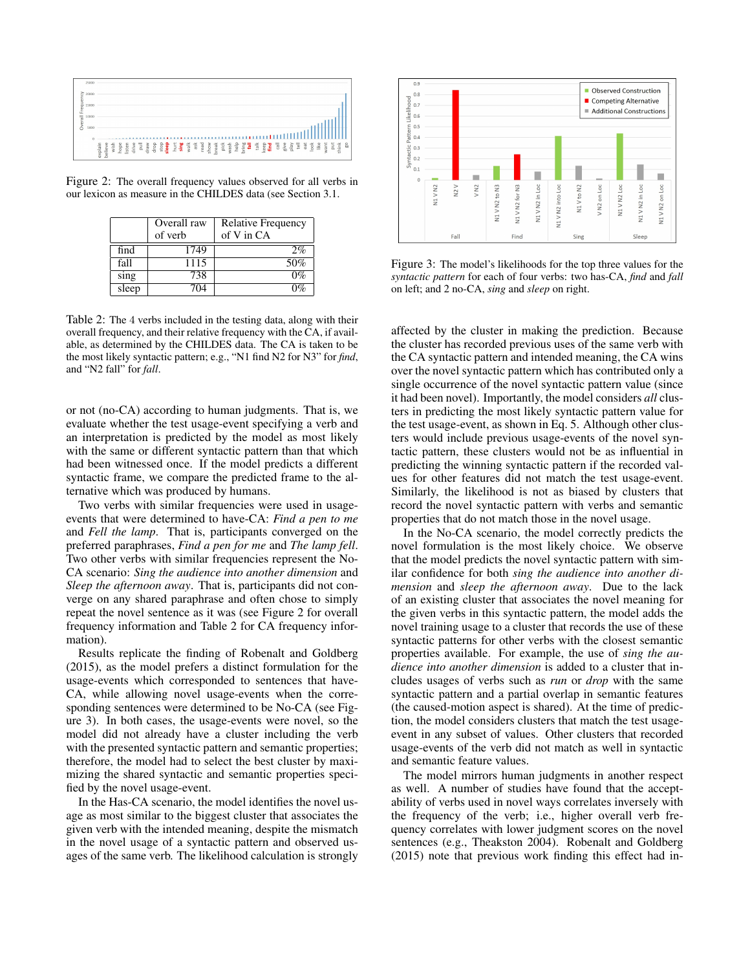

Figure 2: The overall frequency values observed for all verbs in our lexicon as measure in the CHILDES data (see Section 3.1.

|       | Overall raw<br>of verb | <b>Relative Frequency</b><br>of V in CA |  |
|-------|------------------------|-----------------------------------------|--|
| find  | 1749                   | 2%                                      |  |
| fall  | 1115                   | $50\%$                                  |  |
| sing  | 738                    | $0\%$                                   |  |
| sleep | 704                    | በ%                                      |  |

Table 2: The 4 verbs included in the testing data, along with their overall frequency, and their relative frequency with the CA, if available, as determined by the CHILDES data. The CA is taken to be the most likely syntactic pattern; e.g., "N1 find N2 for N3" for *find*, and "N2 fall" for *fall*.

or not (no-CA) according to human judgments. That is, we evaluate whether the test usage-event specifying a verb and an interpretation is predicted by the model as most likely with the same or different syntactic pattern than that which had been witnessed once. If the model predicts a different syntactic frame, we compare the predicted frame to the alternative which was produced by humans.

Two verbs with similar frequencies were used in usageevents that were determined to have-CA: *Find a pen to me* and *Fell the lamp*. That is, participants converged on the preferred paraphrases, *Find a pen for me* and *The lamp fell*. Two other verbs with similar frequencies represent the No-CA scenario: *Sing the audience into another dimension* and *Sleep the afternoon away*. That is, participants did not converge on any shared paraphrase and often chose to simply repeat the novel sentence as it was (see Figure 2 for overall frequency information and Table 2 for CA frequency information).

Results replicate the finding of Robenalt and Goldberg (2015), as the model prefers a distinct formulation for the usage-events which corresponded to sentences that have-CA, while allowing novel usage-events when the corresponding sentences were determined to be No-CA (see Figure 3). In both cases, the usage-events were novel, so the model did not already have a cluster including the verb with the presented syntactic pattern and semantic properties; therefore, the model had to select the best cluster by maximizing the shared syntactic and semantic properties specified by the novel usage-event.

In the Has-CA scenario, the model identifies the novel usage as most similar to the biggest cluster that associates the given verb with the intended meaning, despite the mismatch in the novel usage of a syntactic pattern and observed usages of the same verb. The likelihood calculation is strongly



Figure 3: The model's likelihoods for the top three values for the *syntactic pattern* for each of four verbs: two has-CA, *find* and *fall* on left; and 2 no-CA, *sing* and *sleep* on right.

affected by the cluster in making the prediction. Because the cluster has recorded previous uses of the same verb with the CA syntactic pattern and intended meaning, the CA wins over the novel syntactic pattern which has contributed only a single occurrence of the novel syntactic pattern value (since it had been novel). Importantly, the model considers *all* clusters in predicting the most likely syntactic pattern value for the test usage-event, as shown in Eq. 5. Although other clusters would include previous usage-events of the novel syntactic pattern, these clusters would not be as influential in predicting the winning syntactic pattern if the recorded values for other features did not match the test usage-event. Similarly, the likelihood is not as biased by clusters that record the novel syntactic pattern with verbs and semantic properties that do not match those in the novel usage.

In the No-CA scenario, the model correctly predicts the novel formulation is the most likely choice. We observe that the model predicts the novel syntactic pattern with similar confidence for both *sing the audience into another dimension* and *sleep the afternoon away*. Due to the lack of an existing cluster that associates the novel meaning for the given verbs in this syntactic pattern, the model adds the novel training usage to a cluster that records the use of these syntactic patterns for other verbs with the closest semantic properties available. For example, the use of *sing the audience into another dimension* is added to a cluster that includes usages of verbs such as *run* or *drop* with the same syntactic pattern and a partial overlap in semantic features (the caused-motion aspect is shared). At the time of prediction, the model considers clusters that match the test usageevent in any subset of values. Other clusters that recorded usage-events of the verb did not match as well in syntactic and semantic feature values.

The model mirrors human judgments in another respect as well. A number of studies have found that the acceptability of verbs used in novel ways correlates inversely with the frequency of the verb; i.e., higher overall verb frequency correlates with lower judgment scores on the novel sentences (e.g., Theakston 2004). Robenalt and Goldberg (2015) note that previous work finding this effect had in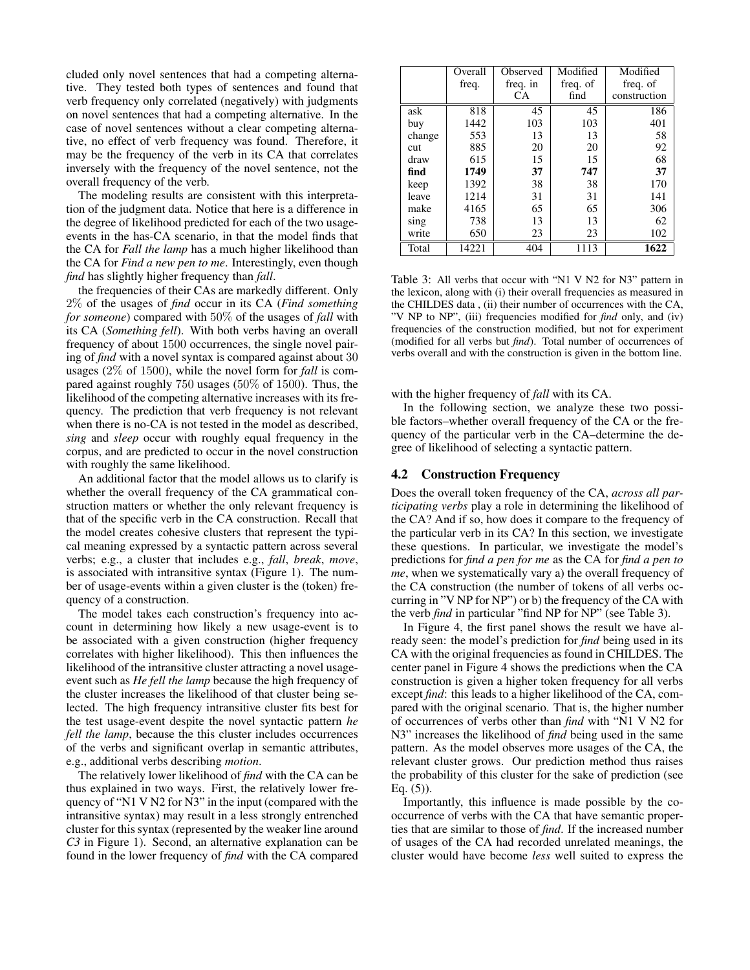cluded only novel sentences that had a competing alternative. They tested both types of sentences and found that verb frequency only correlated (negatively) with judgments on novel sentences that had a competing alternative. In the case of novel sentences without a clear competing alternative, no effect of verb frequency was found. Therefore, it may be the frequency of the verb in its CA that correlates inversely with the frequency of the novel sentence, not the overall frequency of the verb.

The modeling results are consistent with this interpretation of the judgment data. Notice that here is a difference in the degree of likelihood predicted for each of the two usageevents in the has-CA scenario, in that the model finds that the CA for *Fall the lamp* has a much higher likelihood than the CA for *Find a new pen to me*. Interestingly, even though *find* has slightly higher frequency than *fall*.

the frequencies of their CAs are markedly different. Only 2% of the usages of *find* occur in its CA (*Find something for someone*) compared with 50% of the usages of *fall* with its CA (*Something fell*). With both verbs having an overall frequency of about 1500 occurrences, the single novel pairing of *find* with a novel syntax is compared against about 30 usages (2% of 1500), while the novel form for *fall* is compared against roughly 750 usages (50% of 1500). Thus, the likelihood of the competing alternative increases with its frequency. The prediction that verb frequency is not relevant when there is no-CA is not tested in the model as described, *sing* and *sleep* occur with roughly equal frequency in the corpus, and are predicted to occur in the novel construction with roughly the same likelihood.

An additional factor that the model allows us to clarify is whether the overall frequency of the CA grammatical construction matters or whether the only relevant frequency is that of the specific verb in the CA construction. Recall that the model creates cohesive clusters that represent the typical meaning expressed by a syntactic pattern across several verbs; e.g., a cluster that includes e.g., *fall*, *break*, *move*, is associated with intransitive syntax (Figure 1). The number of usage-events within a given cluster is the (token) frequency of a construction.

The model takes each construction's frequency into account in determining how likely a new usage-event is to be associated with a given construction (higher frequency correlates with higher likelihood). This then influences the likelihood of the intransitive cluster attracting a novel usageevent such as *He fell the lamp* because the high frequency of the cluster increases the likelihood of that cluster being selected. The high frequency intransitive cluster fits best for the test usage-event despite the novel syntactic pattern *he fell the lamp*, because the this cluster includes occurrences of the verbs and significant overlap in semantic attributes, e.g., additional verbs describing *motion*.

The relatively lower likelihood of *find* with the CA can be thus explained in two ways. First, the relatively lower frequency of "N1 V N2 for N3" in the input (compared with the intransitive syntax) may result in a less strongly entrenched cluster for this syntax (represented by the weaker line around *C3* in Figure 1). Second, an alternative explanation can be found in the lower frequency of *find* with the CA compared

|        | Overall | Observed | Modified | Modified     |
|--------|---------|----------|----------|--------------|
|        | freq.   | freq. in | freq. of | freq. of     |
|        |         | CА       | find     | construction |
| ask    | 818     | 45       | 45       | 186          |
| buy    | 1442    | 103      | 103      | 401          |
| change | 553     | 13       | 13       | 58           |
| cut    | 885     | 20       | 20       | 92           |
| draw   | 615     | 15       | 15       | 68           |
| find   | 1749    | 37       | 747      | 37           |
| keep   | 1392    | 38       | 38       | 170          |
| leave  | 1214    | 31       | 31       | 141          |
| make   | 4165    | 65       | 65       | 306          |
| sing   | 738     | 13       | 13       | 62           |
| write  | 650     | 23       | 23       | 102          |
| Total  | 14221   | 404      | 1113     | 1622         |

Table 3: All verbs that occur with "N1 V N2 for N3" pattern in the lexicon, along with (i) their overall frequencies as measured in the CHILDES data , (ii) their number of occurrences with the CA, "V NP to NP", (iii) frequencies modified for *find* only, and (iv) frequencies of the construction modified, but not for experiment (modified for all verbs but *find*). Total number of occurrences of verbs overall and with the construction is given in the bottom line.

with the higher frequency of *fall* with its CA.

In the following section, we analyze these two possible factors–whether overall frequency of the CA or the frequency of the particular verb in the CA–determine the degree of likelihood of selecting a syntactic pattern.

#### 4.2 Construction Frequency

Does the overall token frequency of the CA, *across all participating verbs* play a role in determining the likelihood of the CA? And if so, how does it compare to the frequency of the particular verb in its CA? In this section, we investigate these questions. In particular, we investigate the model's predictions for *find a pen for me* as the CA for *find a pen to me*, when we systematically vary a) the overall frequency of the CA construction (the number of tokens of all verbs occurring in "V NP for NP") or b) the frequency of the CA with the verb *find* in particular "find NP for NP" (see Table 3).

In Figure 4, the first panel shows the result we have already seen: the model's prediction for *find* being used in its CA with the original frequencies as found in CHILDES. The center panel in Figure 4 shows the predictions when the CA construction is given a higher token frequency for all verbs except *find*: this leads to a higher likelihood of the CA, compared with the original scenario. That is, the higher number of occurrences of verbs other than *find* with "N1 V N2 for N3" increases the likelihood of *find* being used in the same pattern. As the model observes more usages of the CA, the relevant cluster grows. Our prediction method thus raises the probability of this cluster for the sake of prediction (see Eq.  $(5)$ ).

Importantly, this influence is made possible by the cooccurrence of verbs with the CA that have semantic properties that are similar to those of *find*. If the increased number of usages of the CA had recorded unrelated meanings, the cluster would have become *less* well suited to express the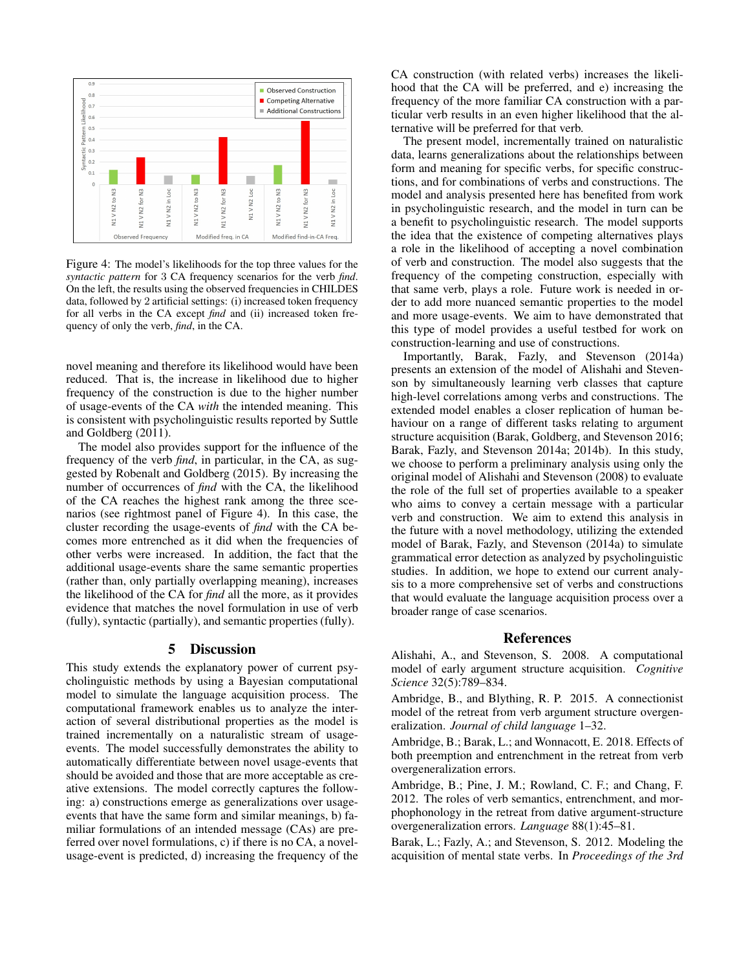

Figure 4: The model's likelihoods for the top three values for the *syntactic pattern* for 3 CA frequency scenarios for the verb *find*. On the left, the results using the observed frequencies in CHILDES data, followed by 2 artificial settings: (i) increased token frequency for all verbs in the CA except *find* and (ii) increased token frequency of only the verb, *find*, in the CA.

novel meaning and therefore its likelihood would have been reduced. That is, the increase in likelihood due to higher frequency of the construction is due to the higher number of usage-events of the CA *with* the intended meaning. This is consistent with psycholinguistic results reported by Suttle and Goldberg (2011).

The model also provides support for the influence of the frequency of the verb *find*, in particular, in the CA, as suggested by Robenalt and Goldberg (2015). By increasing the number of occurrences of *find* with the CA, the likelihood of the CA reaches the highest rank among the three scenarios (see rightmost panel of Figure 4). In this case, the cluster recording the usage-events of *find* with the CA becomes more entrenched as it did when the frequencies of other verbs were increased. In addition, the fact that the additional usage-events share the same semantic properties (rather than, only partially overlapping meaning), increases the likelihood of the CA for *find* all the more, as it provides evidence that matches the novel formulation in use of verb (fully), syntactic (partially), and semantic properties (fully).

## 5 Discussion

This study extends the explanatory power of current psycholinguistic methods by using a Bayesian computational model to simulate the language acquisition process. The computational framework enables us to analyze the interaction of several distributional properties as the model is trained incrementally on a naturalistic stream of usageevents. The model successfully demonstrates the ability to automatically differentiate between novel usage-events that should be avoided and those that are more acceptable as creative extensions. The model correctly captures the following: a) constructions emerge as generalizations over usageevents that have the same form and similar meanings, b) familiar formulations of an intended message (CAs) are preferred over novel formulations, c) if there is no CA, a novelusage-event is predicted, d) increasing the frequency of the

CA construction (with related verbs) increases the likelihood that the CA will be preferred, and e) increasing the frequency of the more familiar CA construction with a particular verb results in an even higher likelihood that the alternative will be preferred for that verb.

The present model, incrementally trained on naturalistic data, learns generalizations about the relationships between form and meaning for specific verbs, for specific constructions, and for combinations of verbs and constructions. The model and analysis presented here has benefited from work in psycholinguistic research, and the model in turn can be a benefit to psycholinguistic research. The model supports the idea that the existence of competing alternatives plays a role in the likelihood of accepting a novel combination of verb and construction. The model also suggests that the frequency of the competing construction, especially with that same verb, plays a role. Future work is needed in order to add more nuanced semantic properties to the model and more usage-events. We aim to have demonstrated that this type of model provides a useful testbed for work on construction-learning and use of constructions.

Importantly, Barak, Fazly, and Stevenson (2014a) presents an extension of the model of Alishahi and Stevenson by simultaneously learning verb classes that capture high-level correlations among verbs and constructions. The extended model enables a closer replication of human behaviour on a range of different tasks relating to argument structure acquisition (Barak, Goldberg, and Stevenson 2016; Barak, Fazly, and Stevenson 2014a; 2014b). In this study, we choose to perform a preliminary analysis using only the original model of Alishahi and Stevenson (2008) to evaluate the role of the full set of properties available to a speaker who aims to convey a certain message with a particular verb and construction. We aim to extend this analysis in the future with a novel methodology, utilizing the extended model of Barak, Fazly, and Stevenson (2014a) to simulate grammatical error detection as analyzed by psycholinguistic studies. In addition, we hope to extend our current analysis to a more comprehensive set of verbs and constructions that would evaluate the language acquisition process over a broader range of case scenarios.

## References

Alishahi, A., and Stevenson, S. 2008. A computational model of early argument structure acquisition. *Cognitive Science* 32(5):789–834.

Ambridge, B., and Blything, R. P. 2015. A connectionist model of the retreat from verb argument structure overgeneralization. *Journal of child language* 1–32.

Ambridge, B.; Barak, L.; and Wonnacott, E. 2018. Effects of both preemption and entrenchment in the retreat from verb overgeneralization errors.

Ambridge, B.; Pine, J. M.; Rowland, C. F.; and Chang, F. 2012. The roles of verb semantics, entrenchment, and morphophonology in the retreat from dative argument-structure overgeneralization errors. *Language* 88(1):45–81.

Barak, L.; Fazly, A.; and Stevenson, S. 2012. Modeling the acquisition of mental state verbs. In *Proceedings of the 3rd*